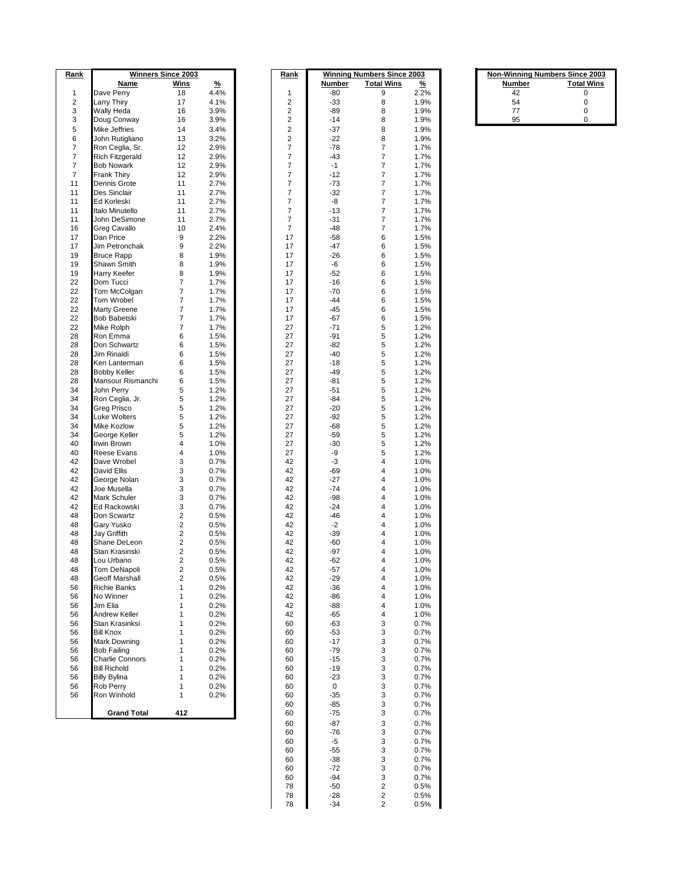| <u>Rank</u>    |                        | <b>Winners Since 2003</b> |               | <u>Rank</u>             |             | <b>Winning Numbers Since 2003</b> |               |        | <b>Non-Winning Numbers Since 2003</b> |
|----------------|------------------------|---------------------------|---------------|-------------------------|-------------|-----------------------------------|---------------|--------|---------------------------------------|
|                | Name                   | Wins                      | $\frac{9}{6}$ |                         | Number      | <b>Total Wins</b>                 | $\frac{9}{6}$ | Number | <b>Total Wins</b>                     |
| $\mathbf{1}$   | Dave Perry             | 18                        | 4.4%          | 1                       | -80         | 9                                 | 2.2%          | 42     | 0                                     |
|                |                        |                           |               |                         |             |                                   |               |        |                                       |
| $\overline{2}$ | <b>Larry Thiry</b>     | 17                        | 4.1%          | 2                       | $-33$       | 8                                 | 1.9%          | 54     | 0                                     |
| 3              | Wally Heda             | 16                        | 3.9%          | 2                       | -89         | 8                                 | 1.9%          | 77     | 0                                     |
| 3              | Doug Conway            | 16                        | 3.9%          | 2                       | $-14$       | 8                                 | 1.9%          | 95     | 0                                     |
| 5              | <b>Mike Jeffries</b>   | 14                        | 3.4%          | $\overline{\mathbf{c}}$ | $-37$       | 8                                 | 1.9%          |        |                                       |
| 6              | John Rutigliano        | 13                        | 3.2%          | $\overline{\mathbf{c}}$ | $-22$       | 8                                 | 1.9%          |        |                                       |
|                |                        |                           |               |                         |             |                                   |               |        |                                       |
| 7              | Ron Ceglia, Sr.        | 12                        | 2.9%          | 7                       | $-78$       | $\overline{7}$                    | 1.7%          |        |                                       |
| $\overline{7}$ | <b>Rich Fitzgerald</b> | 12                        | 2.9%          | 7                       | -43         | $\overline{7}$                    | 1.7%          |        |                                       |
| 7              | <b>Bob Nowark</b>      | 12                        | 2.9%          | 7                       | $-1$        | $\boldsymbol{7}$                  | 1.7%          |        |                                       |
| $\overline{7}$ | <b>Frank Thiry</b>     | 12                        | 2.9%          | 7                       | $-12$       | $\overline{\mathcal{I}}$          | 1.7%          |        |                                       |
|                |                        |                           |               |                         |             |                                   |               |        |                                       |
| 11             | <b>Dennis Grote</b>    | 11                        | 2.7%          | 7                       | $-73$       | $\overline{7}$                    | 1.7%          |        |                                       |
| 11             | <b>Des Sinclair</b>    | 11                        | 2.7%          | 7                       | $-32$       | $\overline{7}$                    | 1.7%          |        |                                       |
| 11             | <b>Ed Korleski</b>     | 11                        | 2.7%          | 7                       | -8          | $\boldsymbol{7}$                  | 1.7%          |        |                                       |
| 11             | Italo Minutello        | 11                        | 2.7%          | 7                       | $-13$       | $\overline{7}$                    | 1.7%          |        |                                       |
|                |                        |                           |               |                         |             |                                   |               |        |                                       |
| 11             | John DeSimone          | 11                        | 2.7%          | 7                       | $-31$       | $\overline{7}$                    | 1.7%          |        |                                       |
| 16             | <b>Greg Cavallo</b>    | 10                        | 2.4%          | 7                       | $-48$       | $\boldsymbol{7}$                  | 1.7%          |        |                                       |
| 17             | Dan Price              | 9                         | 2.2%          | 17                      | $-58$       | 6                                 | 1.5%          |        |                                       |
| 17             |                        | 9                         |               |                         | $-47$       |                                   |               |        |                                       |
|                | Jim Petronchak         |                           | 2.2%          | 17                      |             | 6                                 | 1.5%          |        |                                       |
| 19             | <b>Bruce Rapp</b>      | 8                         | 1.9%          | 17                      | $-26$       | 6                                 | 1.5%          |        |                                       |
| 19             | Shawn Smith            | 8                         | 1.9%          | 17                      | -6          | 6                                 | 1.5%          |        |                                       |
| 19             | <b>Harry Keefer</b>    | 8                         | 1.9%          | 17                      | $-52$       | 6                                 | 1.5%          |        |                                       |
| 22             | Dom Tucci              | $\overline{\mathcal{I}}$  | 1.7%          | 17                      | $-16$       | 6                                 | 1.5%          |        |                                       |
|                |                        |                           |               |                         |             |                                   |               |        |                                       |
| 22             | Tom McColgan           | 7                         | 1.7%          | 17                      | $-70$       | 6                                 | 1.5%          |        |                                       |
| 22             | Tom Wrobel             | $\overline{7}$            | 1.7%          | 17                      | $-44$       | 6                                 | 1.5%          |        |                                       |
| 22             | <b>Marty Greene</b>    | 7                         | 1.7%          | 17                      | $-45$       | 6                                 | 1.5%          |        |                                       |
| 22             |                        | $\overline{\mathcal{I}}$  |               | 17                      |             |                                   |               |        |                                       |
|                | <b>Bob Babetski</b>    |                           | 1.7%          |                         | $-67$       | 6                                 | 1.5%          |        |                                       |
| 22             | Mike Rolph             | 7                         | 1.7%          | 27                      | $-71$       | 5                                 | 1.2%          |        |                                       |
| 28             | Ron Emma               | 6                         | 1.5%          | 27                      | $-91$       | 5                                 | 1.2%          |        |                                       |
| 28             | Don Schwartz           | 6                         | 1.5%          | 27                      | $-82$       | 5                                 | 1.2%          |        |                                       |
| 28             | <b>Jim Rinaldi</b>     | 6                         |               | 27                      | -40         | 5                                 |               |        |                                       |
|                |                        |                           | 1.5%          |                         |             |                                   | 1.2%          |        |                                       |
| 28             | Ken Lanterman          | 6                         | 1.5%          | 27                      | $-18$       | 5                                 | 1.2%          |        |                                       |
| 28             | <b>Bobby Keller</b>    | 6                         | 1.5%          | 27                      | $-49$       | 5                                 | 1.2%          |        |                                       |
| 28             | Mansour Rismanchi      | 6                         | 1.5%          | 27                      | $-81$       | 5                                 | 1.2%          |        |                                       |
| 34             | John Perry             | 5                         | 1.2%          | 27                      | $-51$       | 5                                 | 1.2%          |        |                                       |
|                |                        |                           |               |                         |             |                                   |               |        |                                       |
| 34             | Ron Ceglia, Jr.        | 5                         | 1.2%          | 27                      | $-84$       | 5                                 | 1.2%          |        |                                       |
| 34             | <b>Greg Prisco</b>     | 5                         | 1.2%          | 27                      | $-20$       | 5                                 | 1.2%          |        |                                       |
| 34             | <b>Luke Wolters</b>    | 5                         | 1.2%          | 27                      | $-92$       | 5                                 | 1.2%          |        |                                       |
| 34             | <b>Mike Kozlow</b>     | 5                         | 1.2%          | 27                      | $-68$       | 5                                 | 1.2%          |        |                                       |
|                |                        |                           |               |                         |             |                                   |               |        |                                       |
| 34             | George Keller          | 5                         | 1.2%          | 27                      | $-59$       | 5                                 | 1.2%          |        |                                       |
| 40             | Irwin Brown            | 4                         | 1.0%          | 27                      | $-30$       | 5                                 | 1.2%          |        |                                       |
| 40             | <b>Reese Evans</b>     | 4                         | 1.0%          | 27                      | -9          | 5                                 | 1.2%          |        |                                       |
| 42             | Dave Wrobel            | 3                         | 0.7%          | 42                      | -3          | 4                                 |               |        |                                       |
|                |                        |                           |               |                         |             |                                   | 1.0%          |        |                                       |
| 42             | <b>David Ellis</b>     | 3                         | 0.7%          | 42                      | $-69$       | 4                                 | 1.0%          |        |                                       |
| 42             | George Nolan           | 3                         | 0.7%          | 42                      | $-27$       | 4                                 | 1.0%          |        |                                       |
| 42             | Joe Musella            | 3                         | 0.7%          | 42                      | $-74$       | 4                                 | 1.0%          |        |                                       |
| 42             | Mark Schuler           | 3                         | 0.7%          | 42                      | $-98$       | 4                                 | 1.0%          |        |                                       |
|                |                        |                           |               |                         |             |                                   |               |        |                                       |
| 42             | Ed Rackowski           | 3                         | 0.7%          | 42                      | $-24$       | 4                                 | 1.0%          |        |                                       |
| 48             | Don Scwartz            | $\overline{\mathbf{c}}$   | 0.5%          | 42                      | $-46$       | 4                                 | 1.0%          |        |                                       |
| 48             | Gary Yusko             | $\overline{\mathbf{c}}$   | 0.5%          | 42                      | $-2$        | 4                                 | 1.0%          |        |                                       |
| 48             | <b>Jay Griffith</b>    | 2                         | 0.5%          | 42                      | -39         | 4                                 | 1.0%          |        |                                       |
|                |                        |                           |               |                         |             |                                   |               |        |                                       |
| 48             | Shane DeLeon           | 2                         | 0.5%          | 42                      | -60         | 4                                 | 1.0%          |        |                                       |
| 48             | Stan Krasinski         | 2                         | 0.5%          | 42                      | -97         | 4                                 | 1.0%          |        |                                       |
| 48             | Lou Urbano             | 2                         | 0.5%          | 42                      | $-62$       | 4                                 | 1.0%          |        |                                       |
| 48             | Tom DeNapoli           | $\overline{\mathbf{c}}$   | 0.5%          | 42                      | -57         | 4                                 | 1.0%          |        |                                       |
| 48             |                        | 2                         |               | 42                      |             | $\overline{4}$                    | 1.0%          |        |                                       |
|                | <b>Geoff Marshall</b>  |                           | 0.5%          |                         | $-29$       |                                   |               |        |                                       |
| 56             | <b>Richie Banks</b>    | 1                         | 0.2%          | 42                      | $-36$       | 4                                 | 1.0%          |        |                                       |
| 56             | No Winner              | 1                         | 0.2%          | 42                      | -86         | 4                                 | 1.0%          |        |                                       |
| 56             | Jim Elia               | 1                         | 0.2%          | 42                      | -88         | $\overline{4}$                    | 1.0%          |        |                                       |
| 56             | <b>Andrew Keller</b>   | 1                         | 0.2%          | 42                      | $-65$       | 4                                 | 1.0%          |        |                                       |
|                |                        |                           |               |                         |             |                                   |               |        |                                       |
| 56             | Stan Krasinksi         | 1                         | 0.2%          | 60                      | $-63$       | 3                                 | 0.7%          |        |                                       |
| 56             | <b>Bill Knox</b>       | 1                         | 0.2%          | 60                      | $-53$       | 3                                 | 0.7%          |        |                                       |
| 56             | <b>Mark Downing</b>    | 1                         | 0.2%          | 60                      | $-17$       | 3                                 | 0.7%          |        |                                       |
| 56             | <b>Bob Failing</b>     | 1                         | 0.2%          | 60                      | $-79$       | 3                                 | 0.7%          |        |                                       |
|                |                        |                           |               |                         |             |                                   |               |        |                                       |
| 56             | <b>Charlie Connors</b> | 1                         | 0.2%          | 60                      | $-15$       | 3                                 | 0.7%          |        |                                       |
| 56             | <b>Bill Richold</b>    | 1                         | 0.2%          | 60                      | $-19$       | 3                                 | 0.7%          |        |                                       |
| 56             | <b>Billy Bylina</b>    | 1                         | 0.2%          | 60                      | $-23$       | 3                                 | 0.7%          |        |                                       |
| 56             | <b>Rob Perry</b>       | 1                         | 0.2%          | 60                      | $\mathbf 0$ | 3                                 | 0.7%          |        |                                       |
|                |                        |                           |               |                         |             |                                   |               |        |                                       |
| 56             | Ron Winhold            | 1                         | 0.2%          | 60                      | $-35$       | 3                                 | 0.7%          |        |                                       |
|                |                        |                           |               | 60                      | $-85$       | 3                                 | 0.7%          |        |                                       |
|                | <b>Grand Total</b>     | 412                       |               | 60                      | $-75$       | 3                                 | 0.7%          |        |                                       |
|                |                        |                           |               |                         |             |                                   |               |        |                                       |
|                |                        |                           |               | 60                      | $-87$       | 3                                 | 0.7%          |        |                                       |
|                |                        |                           |               | 60                      | $-76$       | 3                                 | 0.7%          |        |                                       |
|                |                        |                           |               | 60                      | -5          | 3                                 | 0.7%          |        |                                       |
|                |                        |                           |               | 60                      | $-55$       | 3                                 | 0.7%          |        |                                       |
|                |                        |                           |               |                         |             |                                   |               |        |                                       |
|                |                        |                           |               | 60                      | $-38$       | 3                                 | 0.7%          |        |                                       |
|                |                        |                           |               | 60                      | $-72$       | 3                                 | 0.7%          |        |                                       |
|                |                        |                           |               | 60                      | $-94$       | 3                                 | 0.7%          |        |                                       |

 -50 2 0.5% -28 2 0.5% -34 2 0.5%

| <b>Non-Winning Numbers Since 2003</b> |                   |  |  |  |  |
|---------------------------------------|-------------------|--|--|--|--|
| <b>Number</b>                         | <b>Total Wins</b> |  |  |  |  |
| 42                                    | 0                 |  |  |  |  |
| 54                                    | U                 |  |  |  |  |
| 77                                    | U                 |  |  |  |  |
| 95                                    |                   |  |  |  |  |